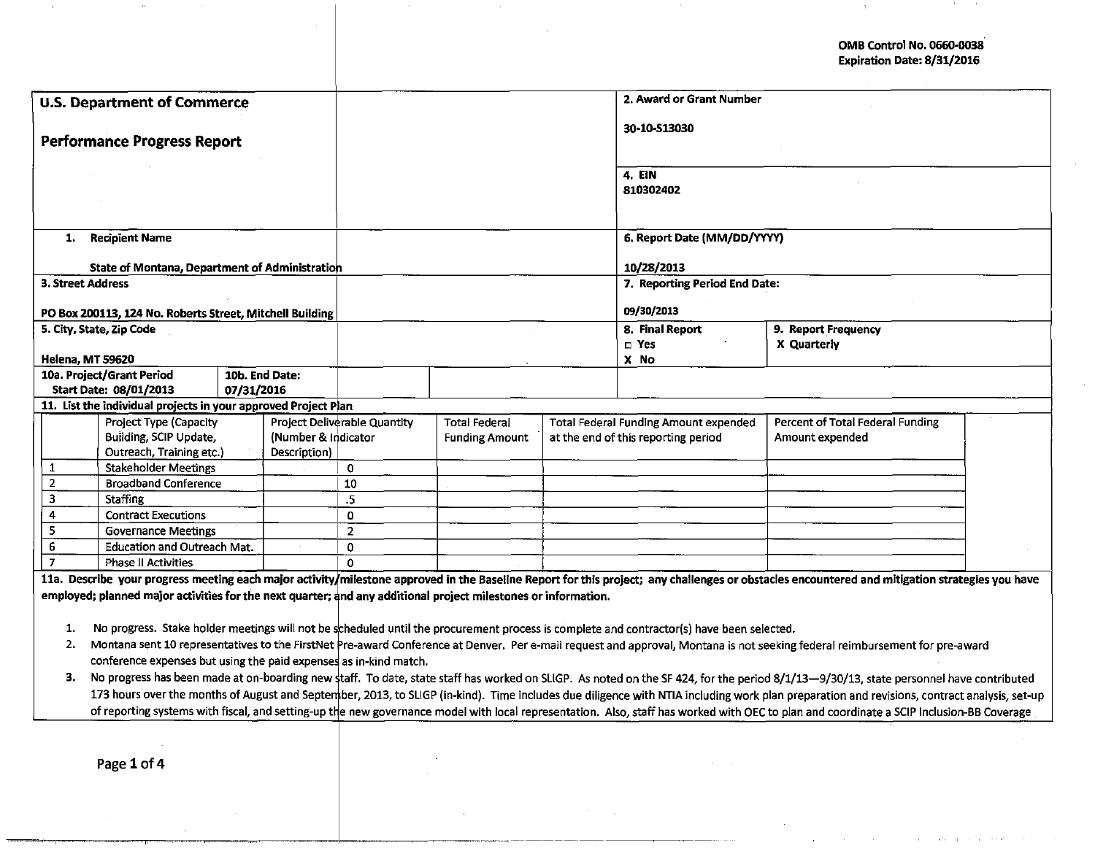OMB Control No. 0660-0038 Expiration Date: 8/31/2016

 $\Delta$ 

| <b>U.S. Department of Commerce</b>                                                                                                                                                                                                                                                                                                                                                   |                                                                                                                |                       |                |                                     |                      |  | 2. Award or Grant Number                                                                                                                 |                                                                                                                                                                                                |  |  |
|--------------------------------------------------------------------------------------------------------------------------------------------------------------------------------------------------------------------------------------------------------------------------------------------------------------------------------------------------------------------------------------|----------------------------------------------------------------------------------------------------------------|-----------------------|----------------|-------------------------------------|----------------------|--|------------------------------------------------------------------------------------------------------------------------------------------|------------------------------------------------------------------------------------------------------------------------------------------------------------------------------------------------|--|--|
|                                                                                                                                                                                                                                                                                                                                                                                      |                                                                                                                |                       |                |                                     |                      |  | 30-10-513030                                                                                                                             |                                                                                                                                                                                                |  |  |
| <b>Performance Progress Report</b>                                                                                                                                                                                                                                                                                                                                                   |                                                                                                                |                       |                |                                     |                      |  |                                                                                                                                          |                                                                                                                                                                                                |  |  |
|                                                                                                                                                                                                                                                                                                                                                                                      |                                                                                                                |                       |                |                                     |                      |  | 4. EIN                                                                                                                                   |                                                                                                                                                                                                |  |  |
|                                                                                                                                                                                                                                                                                                                                                                                      |                                                                                                                |                       |                |                                     |                      |  | 810302402                                                                                                                                |                                                                                                                                                                                                |  |  |
|                                                                                                                                                                                                                                                                                                                                                                                      |                                                                                                                |                       |                |                                     |                      |  |                                                                                                                                          |                                                                                                                                                                                                |  |  |
|                                                                                                                                                                                                                                                                                                                                                                                      |                                                                                                                |                       |                |                                     |                      |  |                                                                                                                                          |                                                                                                                                                                                                |  |  |
| 1.                                                                                                                                                                                                                                                                                                                                                                                   | <b>Recipient Name</b>                                                                                          |                       |                |                                     |                      |  | 6. Report Date (MM/DD/YYYY)                                                                                                              |                                                                                                                                                                                                |  |  |
|                                                                                                                                                                                                                                                                                                                                                                                      | <b>State of Montana, Department of Administration</b>                                                          |                       |                |                                     |                      |  | 10/28/2013                                                                                                                               |                                                                                                                                                                                                |  |  |
|                                                                                                                                                                                                                                                                                                                                                                                      | <b>3. Street Address</b>                                                                                       |                       |                |                                     |                      |  | 7. Reporting Period End Date:                                                                                                            |                                                                                                                                                                                                |  |  |
|                                                                                                                                                                                                                                                                                                                                                                                      |                                                                                                                |                       |                |                                     |                      |  |                                                                                                                                          |                                                                                                                                                                                                |  |  |
|                                                                                                                                                                                                                                                                                                                                                                                      | PO Box 200113, 124 No. Roberts Street, Mitchell Building                                                       |                       |                |                                     |                      |  | 09/30/2013                                                                                                                               |                                                                                                                                                                                                |  |  |
|                                                                                                                                                                                                                                                                                                                                                                                      | 5. City, State, Zip Code                                                                                       |                       |                |                                     |                      |  | 8. Final Report<br>$\Box$ Yes                                                                                                            | 9. Report Frequency<br>X Quarterly                                                                                                                                                             |  |  |
|                                                                                                                                                                                                                                                                                                                                                                                      | <b>Helena, MT 59620</b>                                                                                        |                       |                |                                     |                      |  | X No                                                                                                                                     |                                                                                                                                                                                                |  |  |
|                                                                                                                                                                                                                                                                                                                                                                                      | 10a. Project/Grant Period                                                                                      |                       | 10b. End Date: |                                     |                      |  |                                                                                                                                          |                                                                                                                                                                                                |  |  |
|                                                                                                                                                                                                                                                                                                                                                                                      | Start Date: 08/01/2013                                                                                         | 07/31/2016            |                |                                     |                      |  |                                                                                                                                          |                                                                                                                                                                                                |  |  |
|                                                                                                                                                                                                                                                                                                                                                                                      | 11. List the individual projects in your approved Project Plan                                                 |                       |                |                                     |                      |  |                                                                                                                                          |                                                                                                                                                                                                |  |  |
|                                                                                                                                                                                                                                                                                                                                                                                      | Project Type (Capacity                                                                                         |                       |                | Project Deliverable Quantity        | <b>Total Federal</b> |  | <b>Total Federal Funding Amount expended</b>                                                                                             | Percent of Total Federal Funding                                                                                                                                                               |  |  |
| Building, SCIP Update,<br>(Number & Indicator                                                                                                                                                                                                                                                                                                                                        |                                                                                                                | <b>Funding Amount</b> |                | at the end of this reporting period | Amount expended      |  |                                                                                                                                          |                                                                                                                                                                                                |  |  |
| 1                                                                                                                                                                                                                                                                                                                                                                                    | Outreach, Training etc.)                                                                                       |                       | Description)   | $\mathbf 0$                         |                      |  |                                                                                                                                          |                                                                                                                                                                                                |  |  |
| $\overline{2}$                                                                                                                                                                                                                                                                                                                                                                       | <b>Stakeholder Meetings</b><br><b>Broadband Conference</b>                                                     |                       |                | 10                                  |                      |  |                                                                                                                                          |                                                                                                                                                                                                |  |  |
| 3                                                                                                                                                                                                                                                                                                                                                                                    | <b>Staffing</b>                                                                                                |                       |                | .5                                  |                      |  |                                                                                                                                          |                                                                                                                                                                                                |  |  |
| $\overline{4}$                                                                                                                                                                                                                                                                                                                                                                       | <b>Contract Executions</b>                                                                                     |                       |                | $\Omega$                            |                      |  |                                                                                                                                          |                                                                                                                                                                                                |  |  |
| 5                                                                                                                                                                                                                                                                                                                                                                                    | <b>Governance Meetings</b>                                                                                     |                       |                | $\overline{2}$                      |                      |  |                                                                                                                                          |                                                                                                                                                                                                |  |  |
| $\boldsymbol{6}$                                                                                                                                                                                                                                                                                                                                                                     | <b>Education and Outreach Mat.</b>                                                                             |                       |                | $\Omega$                            |                      |  |                                                                                                                                          |                                                                                                                                                                                                |  |  |
| $\overline{7}$                                                                                                                                                                                                                                                                                                                                                                       | <b>Phase II Activities</b>                                                                                     |                       |                | $\Omega$                            |                      |  |                                                                                                                                          |                                                                                                                                                                                                |  |  |
|                                                                                                                                                                                                                                                                                                                                                                                      |                                                                                                                |                       |                |                                     |                      |  |                                                                                                                                          | 11a. Describe your progress meeting each major activity/milestone approved in the Baseline Report for this project; any challenges or obstacles encountered and mitigation strategies you have |  |  |
|                                                                                                                                                                                                                                                                                                                                                                                      | employed; planned major activities for the next quarter; and any additional project milestones or information. |                       |                |                                     |                      |  |                                                                                                                                          |                                                                                                                                                                                                |  |  |
|                                                                                                                                                                                                                                                                                                                                                                                      |                                                                                                                |                       |                |                                     |                      |  |                                                                                                                                          |                                                                                                                                                                                                |  |  |
| 1.                                                                                                                                                                                                                                                                                                                                                                                   |                                                                                                                |                       |                |                                     |                      |  | No progress. Stake holder meetings will not be scheduled until the procurement process is complete and contractor(s) have been selected. |                                                                                                                                                                                                |  |  |
| Montana sent 10 representatives to the FirstNet Pre-award Conference at Denver. Per e-mail request and approval, Montana is not seeking federal reimbursement for pre-award<br>2.                                                                                                                                                                                                    |                                                                                                                |                       |                |                                     |                      |  |                                                                                                                                          |                                                                                                                                                                                                |  |  |
| conference expenses but using the paid expenses as in-kind match.<br>3.                                                                                                                                                                                                                                                                                                              |                                                                                                                |                       |                |                                     |                      |  |                                                                                                                                          |                                                                                                                                                                                                |  |  |
| No progress has been made at on-boarding new staff. To date, state staff has worked on SLIGP. As noted on the SF 424, for the period 8/1/13-9/30/13, state personnel have contributed<br>173 hours over the months of August and September, 2013, to SLIGP (in-kind). Time includes due diligence with NTIA including work plan preparation and revisions, contract analysis, set-up |                                                                                                                |                       |                |                                     |                      |  |                                                                                                                                          |                                                                                                                                                                                                |  |  |
| of reporting systems with fiscal, and setting-up the new governance model with local representation. Also, staff has worked with OEC to plan and coordinate a SCIP Inclusion-BB Coverage                                                                                                                                                                                             |                                                                                                                |                       |                |                                     |                      |  |                                                                                                                                          |                                                                                                                                                                                                |  |  |
|                                                                                                                                                                                                                                                                                                                                                                                      |                                                                                                                |                       |                |                                     |                      |  |                                                                                                                                          |                                                                                                                                                                                                |  |  |
|                                                                                                                                                                                                                                                                                                                                                                                      |                                                                                                                |                       |                |                                     |                      |  |                                                                                                                                          |                                                                                                                                                                                                |  |  |
|                                                                                                                                                                                                                                                                                                                                                                                      | Page 1 of 4                                                                                                    |                       |                |                                     |                      |  |                                                                                                                                          |                                                                                                                                                                                                |  |  |
|                                                                                                                                                                                                                                                                                                                                                                                      |                                                                                                                |                       |                |                                     |                      |  |                                                                                                                                          |                                                                                                                                                                                                |  |  |

- .. -- -- - ·---- -·-----------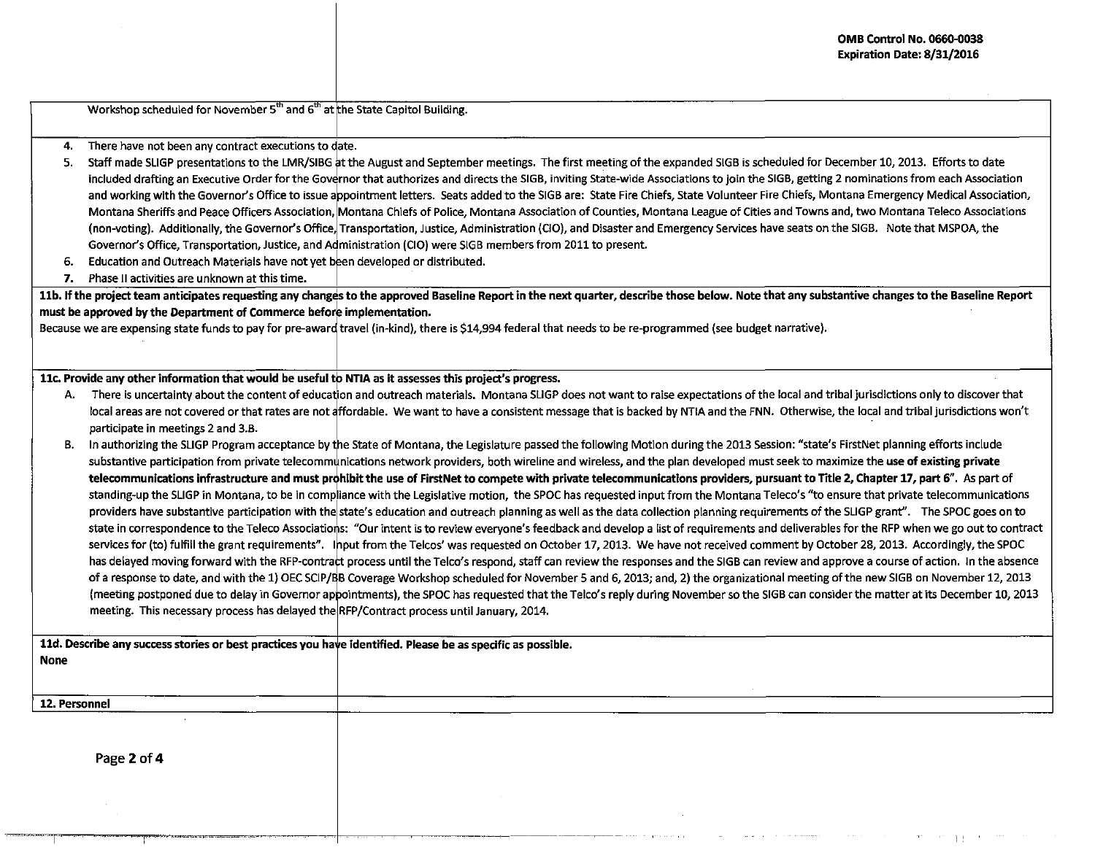Workshop scheduled for November  $5<sup>th</sup>$  and  $6<sup>th</sup>$  at the State Capitol Building.

- 4. There have not been any contract executions to date.
- 5. Staff made SUGP presentations to the LMR/SIBG at the August and September meetings. The first meeting of the expanded 51GB is scheduled for December 10, 2013. Efforts to date included drafting an Executive Order for the Governor that authorizes and directs the SIGB, inviting State-wide Associations to join the SIGB, getting 2 nominations from each Association and working with the Governor's Office to issue appointment letters. Seats added to the SIGB are: State Fire Chiefs, State Volunteer Fire Chiefs, Montana Emergency Medical Association, Montana Sheriffs and Peace Officers Association, Montana Chiefs of Police, Montana Association of Counties, Montana League of Cities and Towns and, two Montana Teleco Associations (non-voting). Additionally, the Governor's Office, Transportation, Justice, Administration (CIO), and Disaster and Emergency Services have seats on the SIGB. Note that MSPOA, the Governor's Office, Transportation, Justice, and Administration (CIO) were SIGB members from 2011 to present.
- 6. Education and Outreach Materials have not yet been developed or distributed.
- 7. Phase II activities are unknown at this time.

11b. If the project team anticipates requesting any changes to the approved Baseline Report in the next quarter, describe those below. Note that any substantive changes to the Baseline Report must be approved by the Department of Commerce before implementation.

Because we are expensing state funds to pay for pre-award travel (in-kind), there is \$14,994 federal that needs to be re-programmed (see budget narrative).

11c. Provide any other information that would be useful to NTIA as it assesses this project's progress.

- There is uncertainty about the content of education and outreach materials. Montana SLIGP does not want to raise expectations of the local and tribal jurisdictions only to discover that<br>local areas are not covered or that participate in meetings 2 and 3.8.
- B. In authorizing the SLIGP Program acceptance by the State of Montana, the Legislature passed the following Motion during the 2013 Session: "state's FirstNet planning efforts include substantive participation from private telecommunications network providers, both wireline and wireless, and the plan developed must seek to maximize the use of existing private telecommunications infrastructure and must prohibit the use of FirstNet to compete with private telecommunications providers, pursuant to Title 2, Chapter 17, part 6". As part of standing-up the SLIGP in Montana, to be in compliance with the Legislative motion, the SPOC has requested input from the Montana Teleco's "to ensure that private telecommunications providers have substantive participation with the state's education and outreach planning as well as the data collection planning requirements of the SLIGP grant". The SPOC goes on to state in correspondence to the Teleco Associations: "Our intent is to review everyone's feedback and develop a list of requirements and deliverables for the RFP when we go out to contract services for (to) fulfill the grant requirements". Input from the Telcos' was requested on October 17, 2013. We have not received comment by October 28, 2013. Accordingly, the SPOC has delayed moving forward with the RFP-contract process until the Telco's respond, staff can review the responses and the SIGB can review and approve a course of action. In the absence of a response to date, and with the 1) OEC SCIP/BB Coverage Workshop scheduled for November 5 and 6, 2013; and, 2) the organizational meeting of the new SIGB on November 12, 2013 (meeting postponed due to delay in Governor appointments), the SPOC has requested that the Telco's reply during November so the SIGB can consider the matter at its December 10, 2013 meeting. This necessary process has delayed the RFP/Contract process until January, 2014.

--·~----~------------ II

11d. Describe any success stories or best practices you have identified. Please be as specific as possible.

12. Personnel

None

Page 2 of 4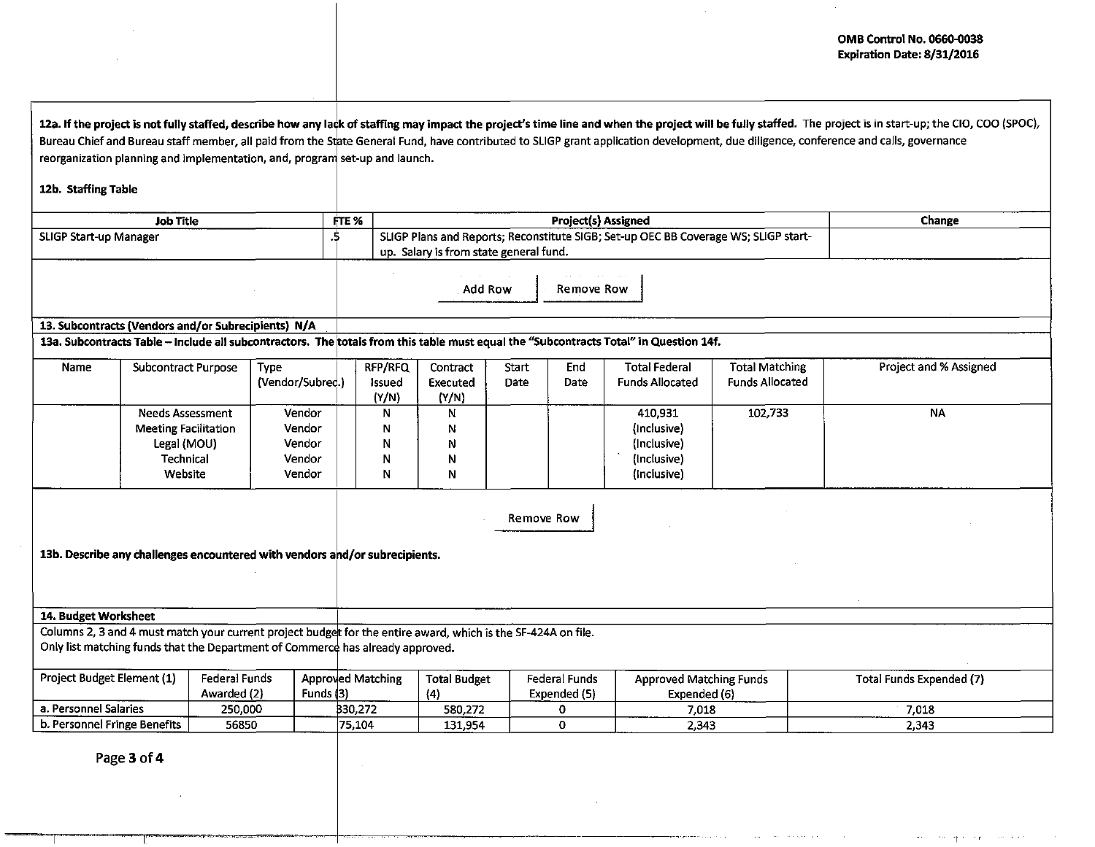|                                                                             |                                                                                                               |                              |                                                |                                         |                                                                                                                               |                               |                               |             |                                                                                                                                        |                                                 | <b>OMB Control No. 0660-0038</b><br><b>Expiration Date: 8/31/2016</b>                                                                                                                                                                                                                                                                                                                               |  |
|-----------------------------------------------------------------------------|---------------------------------------------------------------------------------------------------------------|------------------------------|------------------------------------------------|-----------------------------------------|-------------------------------------------------------------------------------------------------------------------------------|-------------------------------|-------------------------------|-------------|----------------------------------------------------------------------------------------------------------------------------------------|-------------------------------------------------|-----------------------------------------------------------------------------------------------------------------------------------------------------------------------------------------------------------------------------------------------------------------------------------------------------------------------------------------------------------------------------------------------------|--|
|                                                                             |                                                                                                               |                              |                                                |                                         |                                                                                                                               |                               |                               |             |                                                                                                                                        |                                                 |                                                                                                                                                                                                                                                                                                                                                                                                     |  |
| 12b. Staffing Table                                                         | reorganization planning and implementation, and, program set-up and launch.                                   |                              |                                                |                                         |                                                                                                                               |                               |                               |             |                                                                                                                                        |                                                 | 12a. If the project is not fully staffed, describe how any lack of staffing may impact the project's time line and when the project will be fully staffed. The project is in start-up; the CIO, COO (SPOC),<br>Bureau Chief and Bureau staff member, all paid from the State General Fund, have contributed to SLIGP grant application development, due diligence, conference and calls, governance |  |
|                                                                             |                                                                                                               |                              |                                                |                                         |                                                                                                                               |                               |                               |             |                                                                                                                                        |                                                 |                                                                                                                                                                                                                                                                                                                                                                                                     |  |
|                                                                             | <b>Job Title</b>                                                                                              |                              |                                                | FTE %                                   | <b>Project(s) Assigned</b><br>Change                                                                                          |                               |                               |             |                                                                                                                                        |                                                 |                                                                                                                                                                                                                                                                                                                                                                                                     |  |
| <b>SLIGP Start-up Manager</b>                                               |                                                                                                               |                              |                                                | .5                                      | SLIGP Plans and Reports; Reconstitute SIGB; Set-up OEC BB Coverage WS; SLIGP start-<br>up. Salary is from state general fund. |                               |                               |             |                                                                                                                                        |                                                 |                                                                                                                                                                                                                                                                                                                                                                                                     |  |
|                                                                             |                                                                                                               |                              |                                                |                                         |                                                                                                                               |                               | Add Row                       | Remove Row  |                                                                                                                                        |                                                 |                                                                                                                                                                                                                                                                                                                                                                                                     |  |
| 13. Subcontracts (Vendors and/or Subrecipients) N/A                         |                                                                                                               |                              |                                                |                                         |                                                                                                                               |                               |                               |             |                                                                                                                                        |                                                 |                                                                                                                                                                                                                                                                                                                                                                                                     |  |
|                                                                             |                                                                                                               |                              |                                                |                                         |                                                                                                                               |                               |                               |             | 13a. Subcontracts Table -- Include all subcontractors. The totals from this table must equal the "Subcontracts Total" in Question 14f. |                                                 |                                                                                                                                                                                                                                                                                                                                                                                                     |  |
| Name                                                                        | <b>Subcontract Purpose</b>                                                                                    |                              | <b>Type</b><br>(Vendor/Subred.)                |                                         | RFP/RFQ<br>Issued<br>(Y/N)                                                                                                    | Contract<br>Executed<br>(Y/N) | Start<br>Date                 | End<br>Date | <b>Total Federal</b><br><b>Funds Allocated</b>                                                                                         | <b>Total Matching</b><br><b>Funds Allocated</b> | Project and % Assigned                                                                                                                                                                                                                                                                                                                                                                              |  |
|                                                                             | <b>Needs Assessment</b><br><b>Meeting Facilitation</b><br>Legal (MOU)<br><b>Technical</b><br>Website          |                              | Vendor<br>Vendor<br>Vendor<br>Vendor<br>Vendor |                                         | N<br>N<br>N<br>N<br>N                                                                                                         | N<br>N<br>N<br>N<br>Ν         |                               |             | 410,931<br>(Inclusive)<br>(Inclusive)<br>(Inclusive)<br>(Inclusive)                                                                    | 102,733                                         | <b>NA</b>                                                                                                                                                                                                                                                                                                                                                                                           |  |
| 13b. Describe any challenges encountered with vendors and/or subrecipients. |                                                                                                               |                              |                                                |                                         |                                                                                                                               |                               | Remove Row                    |             |                                                                                                                                        |                                                 |                                                                                                                                                                                                                                                                                                                                                                                                     |  |
| 14. Budget Worksheet                                                        |                                                                                                               |                              |                                                |                                         |                                                                                                                               |                               |                               |             |                                                                                                                                        |                                                 |                                                                                                                                                                                                                                                                                                                                                                                                     |  |
|                                                                             | Columns 2, 3 and 4 must match your current project budget for the entire award, which is the SF-424A on file. |                              |                                                |                                         |                                                                                                                               |                               |                               |             |                                                                                                                                        |                                                 |                                                                                                                                                                                                                                                                                                                                                                                                     |  |
|                                                                             | Only list matching funds that the Department of Commerce has already approved.                                |                              |                                                |                                         |                                                                                                                               |                               |                               |             |                                                                                                                                        |                                                 |                                                                                                                                                                                                                                                                                                                                                                                                     |  |
| Project Budget Element (1)                                                  |                                                                                                               | Federal Funds<br>Awarded (2) |                                                | <b>Approved Matching</b><br>Funds $(3)$ |                                                                                                                               | <b>Total Budget</b><br>(4)    | Federal Funds<br>Expended (5) |             | <b>Approved Matching Funds</b><br>Expended (6)                                                                                         |                                                 | <b>Total Funds Expended (7)</b>                                                                                                                                                                                                                                                                                                                                                                     |  |
| a. Personnel Salaries                                                       |                                                                                                               | 250,000                      |                                                |                                         | 330,272                                                                                                                       | 580,272                       |                               | 0.          | 7,018                                                                                                                                  |                                                 | 7,018                                                                                                                                                                                                                                                                                                                                                                                               |  |
| b. Personnel Fringe Benefits                                                |                                                                                                               | 56850                        |                                                | 75,104                                  |                                                                                                                               | 131,954                       |                               | $\Omega$    | 2,343                                                                                                                                  |                                                 | 2,343                                                                                                                                                                                                                                                                                                                                                                                               |  |
|                                                                             |                                                                                                               |                              |                                                |                                         |                                                                                                                               |                               |                               |             |                                                                                                                                        |                                                 |                                                                                                                                                                                                                                                                                                                                                                                                     |  |

 $\mathcal{L}_{\mathbf{X}}$  .

.<br>In the contract of the contract of the contract of the contract of the contract of the contract of the contract

and a state

Page 3 of 4

 $\sim$ 

 $\sim 10^7$